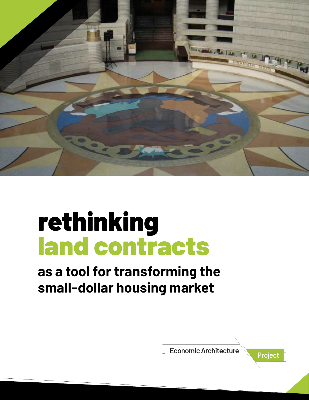

# rethinking land contracts

## **as a tool for transforming the small-dollar housing market**

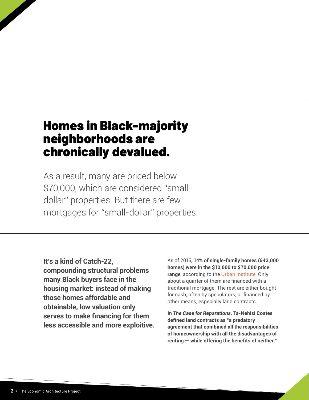### Homes in Black-majority neighborhoods are chronically devalued.

As a result, many are priced below \$70,000, which are considered "small dollar" properties. But there are few mortgages for "small-dollar" properties.

**It's a kind of Catch-22, compounding structural problems many Black buyers face in the housing market: instead of making those homes affordable and obtainable, low valuation only serves to make financing for them less accessible and more exploitive.**

As of 2015, **14% of single-family homes (643,000 homes) were in the \$10,000 to \$70,000 price range**, according to the [Urban Institute](https://nam11.safelinks.protection.outlook.com/?url=https%3A%2F%2Fwww.brookings.edu%2Fresearch%2Fdevaluation-of-assets-in-black-neighborhoods%2F&data=04%7C01%7Csyasgur%40ashoka.org%7C083c9702c0d2437d5f7508d9aecb662d%7Cbc2334050f6547d59bbb58dc725df5c6%7C0%7C0%7C637733010903856557%7CUnknown%7CTWFpbGZsb3d8eyJWIjoiMC4wLjAwMDAiLCJQIjoiV2luMzIiLCJBTiI6Ik1haWwiLCJXVCI6Mn0%3D%7C3000&sdata=8WyKEpJj1ldEX%2FQ9V7oxvZptSncte69pLvuMt0BFOTw%3D&reserved=0). Only about a quarter of them are financed with a traditional mortgage. The rest are either bought for cash, often by speculators, or financed by other means, especially land contracts.

**In** *The Case for Reparations,* **Ta-Nehisi Coates defined land contracts as "a predatory agreement that combined all the responsibilities of homeownership with all the disadvantages of renting — while offering the benefits of neither."**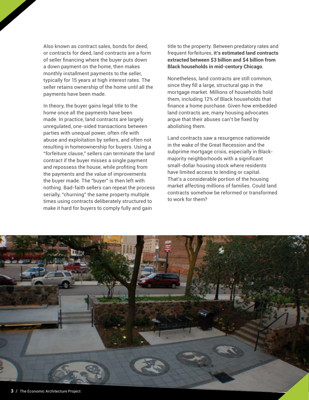Also known as contract sales, bonds for deed, or contracts for deed, land contracts are a form of seller financing where the buyer puts down a down payment on the home, then makes monthly installment payments to the seller, typically for 15 years at high interest rates. The seller retains ownership of the home until all the payments have been made.

In theory, the buyer gains legal title to the home once all the payments have been made. In practice, land contracts are largely unregulated, one-sided transactions between parties with unequal power, often rife with abuse and exploitation by sellers, and often not resulting in homeownership for buyers. Using a "forfeiture clause," sellers can terminate the land contract if the buyer misses a single payment and repossess the house, while profiting from the payments and the value of improvements the buyer made. The "buyer" is then left with nothing. Bad-faith sellers can repeat the process serially, "churning" the same property multiple times using contracts deliberately structured to make it hard for buyers to comply fully and gain

title to the property. Between predatory rates and frequent forfeitures, **it's estimated land contracts extracted between \$3 billion and \$4 billion from Black households in mid-century Chicago**.

Nonetheless, land contracts are still common, since they fill a large, structural gap in the mortgage market. Millions of households hold them, including 12% of Black households that finance a home purchase. Given how embedded land contracts are, many housing advocates argue that their abuses can't be fixed by abolishing them.

Land contracts saw a resurgence nationwide in the wake of the Great Recession and the subprime mortgage crisis, especially in Blackmajority neighborhoods with a significant small-dollar housing stock where residents have limited access to lending or capital. That's a considerable portion of the housing market affecting millions of families. Could land contracts somehow be reformed or transformed to work for them?

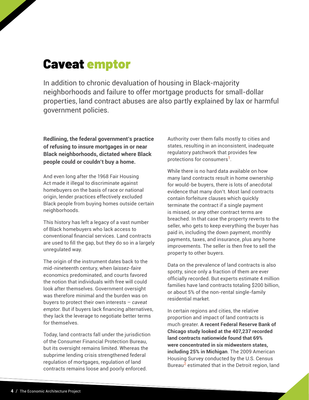### Caveat emptor

In addition to chronic devaluation of housing in Black-majority neighborhoods and failure to offer mortgage products for small-dollar properties, land contract abuses are also partly explained by lax or harmful government policies.

**Redlining, the federal government's practice of refusing to insure mortgages in or near Black neighborhoods, dictated where Black people could or couldn't buy a home.** 

And even long after the 1968 Fair Housing Act made it illegal to discriminate against homebuyers on the basis of race or national origin, lender practices effectively excluded Black people from buying homes outside certain neighborhoods.

This history has left a legacy of a vast number of Black homebuyers who lack access to conventional financial services. Land contracts are used to fill the gap, but they do so in a largely unregulated way.

The origin of the instrument dates back to the mid-nineteenth century, when *laissez-faire*  economics predominated, and courts favored the notion that individuals with free will could look after themselves. Government oversight was therefore minimal and the burden was on buyers to protect their own interests – *caveat emptor.* But if buyers lack financing alternatives, they lack the leverage to negotiate better terms for themselves.

Today, land contracts fall under the jurisdiction of the Consumer Financial Protection Bureau, but its oversight remains limited. Whereas the subprime lending crisis strengthened federal regulation of mortgages, regulation of land contracts remains loose and poorly enforced.

Authority over them falls mostly to cities and states, resulting in an inconsistent, inadequate regulatory patchwork that provides few protections for consumers**1**.

While there is no hard data available on how many land contracts result in home ownership for would-be buyers, there is lots of anecdotal evidence that many don't. Most land contracts contain forfeiture clauses which quickly terminate the contract if a single payment is missed, or any other contract terms are breached. In that case the property reverts to the seller, who gets to keep everything the buyer has paid in, including the down payment, monthly payments, taxes, and insurance, plus any home improvements. The seller is then free to sell the property to other buyers.

Data on the prevalence of land contracts is also spotty, since only a fraction of them are ever officially recorded. But experts estimate 4 million families have land contracts totaling \$200 billion, or about 5% of the non-rental single-family residential market.

In certain regions and cities, the relative proportion and impact of land contracts is much greater. **A recent Federal Reserve Bank of Chicago study looked at the 407,237 recorded land contracts nationwide found that 69% were concentrated in six midwestern states, including 25% in Michigan**. The 2009 American Housing Survey conducted by the U.S. Census Bureau**2** estimated that in the Detroit region, land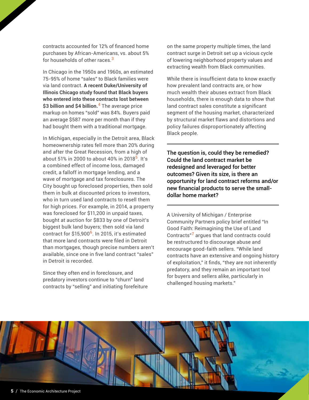contracts accounted for 12% of financed home purchases by African-Americans, vs. about 5% for households of other races.**<sup>3</sup>**

In Chicago in the 1950s and 1960s, an estimated 75-95% of home "sales" to Black families were via land contract. **A recent Duke/University of Illinois Chicago study found that Black buyers who entered into these contracts lost between \$3 billion and \$4 billion.4** The average price markup on homes "sold" was 84%. Buyers paid an average \$587 more per month than if they had bought them with a traditional mortgage.

In Michigan, especially in the Detroit area, Black homeownership rates fell more than 20% during and after the Great Recession, from a high of about 51% in 2000 to about 40% in 2018**5**. It's a combined effect of income loss, damaged credit, a falloff in mortgage lending, and a wave of mortgage and tax foreclosures. The City bought up foreclosed properties, then sold them in bulk at discounted prices to investors, who in turn used land contracts to resell them for high prices. For example, in 2014, a property was foreclosed for \$11,200 in unpaid taxes, bought at auction for \$833 by one of Detroit's biggest bulk land buyers; then sold via land contract for \$15,900**6**. In 2015, it's estimated that more land contracts were filed in Detroit than mortgages, though precise numbers aren't available, since one in five land contract "sales" in Detroit is recorded.

Since they often end in foreclosure, and predatory investors continue to "churn" land contracts by "selling" and initiating forefeiture on the same property multiple times, the land contract surge in Detroit set up a vicious cycle of lowering neighborhood property values and extracting wealth from Black communities.

While there is insufficient data to know exactly how prevalent land contracts are, or how much wealth their abuses extract from Black households, there is enough data to show that land contract sales constitute a significant segment of the housing market, characterized by structural market flaws and distortions and policy failures disproportionately affecting Black people.

The question is, could they be remedied? Could the land contract market be redesigned and leveraged for better outcomes? Given its size, is there an opportunity for land contract reforms and/or new financial products to serve the smalldollar home market?

A University of Michigan / Enterprise Community Partners policy brief entitled "In Good Faith: Reimagining the Use of Land Contracts"**7** argues that land contracts could be restructured to discourage abuse and encourage good-faith sellers. "While land contracts have an extensive and ongoing history of exploitation," it finds, "they are not inherently predatory, and they remain an important tool for buyers and sellers alike, particularly in challenged housing markets."

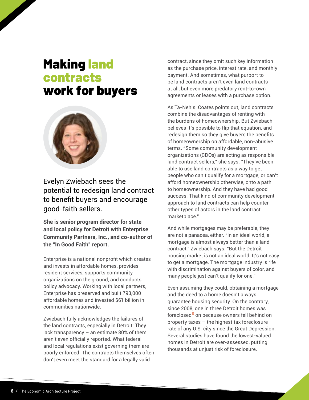### Making land contracts work for buyers



Evelyn Zwiebach sees the potential to redesign land contract to benefit buyers and encourage good-faith sellers.

**She is senior program director for state and local policy for Detroit with Enterprise Community Partners, Inc., and co-author of the "In Good Faith" report.**

Enterprise is a national nonprofit which creates and invests in affordable homes, provides resident services, supports community organizations on the ground, and conducts policy advocacy. Working with local partners, Enterprise has preserved and built 793,000 affordable homes and invested \$61 billion in communities nationwide.

Zwiebach fully acknowledges the failures of the land contracts, especially in Detroit: They lack transparency – an estimate 80% of them aren't even officially reported. What federal and local regulations exist governing them are poorly enforced. The contracts themselves often don't even meet the standard for a legally valid

contract, since they omit such key information as the purchase price, interest rate, and monthly payment. And sometimes, what purport to be land contracts aren't even land contracts at all, but even more predatory rent-to-own agreements or leases with a purchase option.

As Ta-Nehisi Coates points out, land contracts combine the disadvantages of renting with the burdens of homeownership. But Zwiebach believes it's possible to flip that equation, and redesign them so they give buyers the benefits of homeownership on affordable, non-abusive terms. **"**Some community development organizations (CDOs) are acting as responsible land contract sellers," she says. "They've been able to use land contracts as a way to get people who can't qualify for a mortgage, or can't afford homeownership otherwise, onto a path to homeownership. And they have had good success. That kind of community development approach to land contracts can help counter other types of actors in the land contract marketplace."

And while mortgages may be preferable, they are not a panacea, either. "In an ideal world, a mortgage is almost always better than a land contract," Zwiebach says**.** "But the Detroit housing market is not an ideal world. It's not easy to get a mortgage. The mortgage industry is rife with discrimination against buyers of color, and many people just can't qualify for one."

Even assuming they could, obtaining a mortgage and the deed to a home doesn't always guarantee housing security. On the contrary, since 2008, one in three Detroit homes was foreclosed**8** on because owners fell behind on property taxes – the highest tax foreclosure rate of any U.S. city since the Great Depression. Several studies have found the lowest-valued homes in Detroit are over-assessed, putting thousands at unjust risk of foreclosure.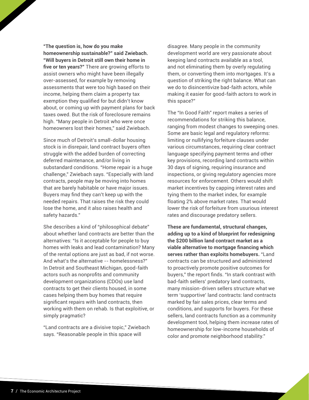**"The question is, how do you make homeownership sustainable?" said Zwiebach. "Will buyers in Detroit still own their home in five or ten years?"** There are growing efforts to assist owners who might have been illegally over-assessed, for example by removing assessments that were too high based on their income, helping them claim a property tax exemption they qualified for but didn't know about, or coming up with payment plans for back taxes owed. But the risk of foreclosure remains high. "Many people in Detroit who were once homeowners lost their homes," said Zwiebach.

Since much of Detroit's small-dollar housing stock is in disrepair, land contract buyers often struggle with the added burden of correcting deferred maintenance, and/or living in substandard conditions. "Home repair is a huge challenge," Zwiebach says. "Especially with land contracts, people may be moving into homes that are barely habitable or have major issues. Buyers may find they can't keep up with the needed repairs. That raises the risk they could lose the home, and it also raises health and safety hazards."

She describes a kind of "philosophical debate" about whether land contracts are better than the alternatives: "Is it acceptable for people to buy homes with leaks and lead contamination? Many of the rental options are just as bad, if not worse. And what's the alternative -- homelessness?" In Detroit and Southeast Michigan, good-faith actors such as nonprofits and community development organizations (CDOs) use land contracts to get their clients housed, in some cases helping them buy homes that require significant repairs with land contracts, then working with them on rehab. Is that exploitive, or simply pragmatic?

"Land contracts are a divisive topic," Zwiebach says. "Reasonable people in this space will

disagree. Many people in the community development world are very passionate about keeping land contracts available as a tool, and not eliminating them by overly regulating them, or converting them into mortgages. It's a question of striking the right balance. What can we do to disincentivize bad-faith actors, while making it easier for good-faith actors to work in this space?"

The "In Good Faith" report makes a series of recommendations for striking this balance, ranging from modest changes to sweeping ones. Some are basic legal and regulatory reforms: limiting or nullifying forfeiture clauses under various circumstances, requiring clear contract language specifying payment terms and other key provisions, recording land contracts within 30 days of signing, requiring insurance and inspections, or giving regulatory agencies more resources for enforcement. Others would shift market incentives by capping interest rates and tying them to the market index, for example floating 2% above market rates. That would lower the risk of forfeiture from usurious interest rates and discourage predatory sellers.

**These are fundamental, structural changes, adding up to a kind of blueprint for redesigning the \$200 billion land contract market as a viable alternative to mortgage financing which serves rather than exploits homebuyers.** "Land contracts can be structured and administered to proactively promote positive outcomes for buyers," the report finds. "In stark contrast with bad-faith sellers' predatory land contracts, many mission-driven sellers structure what we term 'supportive' land contracts: land contracts marked by fair sales prices, clear terms and conditions, and supports for buyers. For these sellers, land contracts function as a community development tool, helping them increase rates of homeownership for low-income households of color and promote neighborhood stability."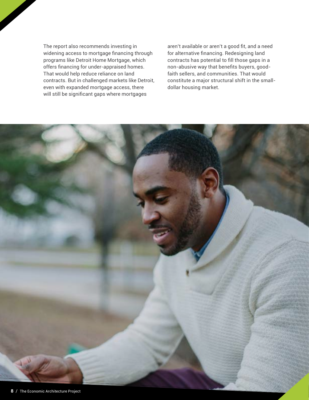The report also recommends investing in widening access to mortgage financing through programs like Detroit Home Mortgage, which offers financing for under-appraised homes. That would help reduce reliance on land contracts. But in challenged markets like Detroit, even with expanded mortgage access, there will still be significant gaps where mortgages

aren't available or aren't a good fit, and a need for alternative financing. Redesigning land contracts has potential to fill those gaps in a non-abusive way that benefits buyers, goodfaith sellers, and communities. That would constitute a major structural shift in the smalldollar housing market.

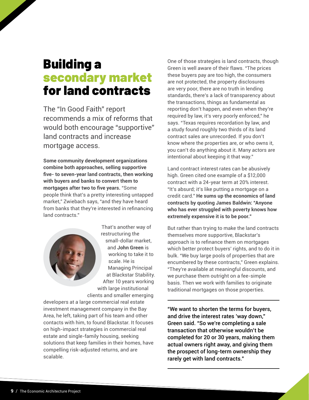### Building a secondary market for land contracts

The "In Good Faith" report recommends a mix of reforms that would both encourage "supportive" land contracts and increase mortgage access.

**Some community development organizations combine both approaches, selling supportive five- to seven-year land contracts, then working with buyers and banks to convert them to mortgages after two to five years.** "Some people think that's a pretty interesting untapped market," Zwiebach says, "and they have heard from banks that they're interested in refinancing land contracts."

> That's another way of restructuring the small-dollar market, and **John Green** is working to take it to scale. He is Managing Principal at Blackstar Stability. After 10 years working with large institutional clients and smaller emerging

developers at a large commercial real estate investment management company in the Bay Area, he left, taking part of his team and other contacts with him, to found Blackstar. It focuses on high-impact strategies in commercial real estate and single-family housing, seeking solutions that keep families in their homes, have compelling risk-adjusted returns, and are scalable.

One of those strategies is land contracts, though Green is well aware of their flaws. "The prices these buyers pay are too high, the consumers are not protected, the property disclosures are very poor, there are no truth in lending standards, there's a lack of transparency about the transactions, things as fundamental as reporting don't happen, and even when they're required by law, it's very poorly enforced," he says. "Texas requires recordation by law, and a study found roughly two thirds of its land contract sales are unrecorded. If you don't know where the properties are, or who owns it, you can't do anything about it. Many actors are intentional about keeping it that way."

Land contract interest rates can be abusively high. Green cited one example of a \$12,000 contract with a 24-year term at 20% interest. "It's absurd; it's like putting a mortgage on a credit card." **He sums up the economics of land contracts by quoting James Baldwin: "Anyone who has ever struggled with poverty knows how extremely expensive it is to be poor."**

But rather than trying to make the land contracts themselves more supportive, Blackstar's approach is to refinance them on mortgages which better protect buyers' rights, and to do it in bulk. "We buy large pools of properties that are encumbered by these contracts," Green explains. "They're available at meaningful discounts, and we purchase them outright on a fee-simple basis. Then we work with families to originate traditional mortgages on those properties.

"We want to shorten the terms for buyers, and drive the interest rates 'way down," Green said. "So we're completing a sale transaction that otherwise wouldn't be completed for 20 or 30 years, making them actual owners right away, and giving them the prospect of long-term ownership they rarely get with land contracts."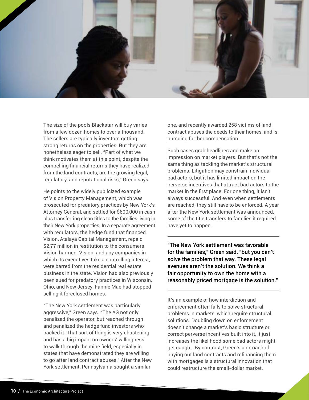

The size of the pools Blackstar will buy varies from a few dozen homes to over a thousand. The sellers are typically investors getting strong returns on the properties. But they are nonetheless eager to sell. "Part of what we think motivates them at this point, despite the compelling financial returns they have realized from the land contracts, are the growing legal, regulatory, and reputational risks," Green says.

He points to the widely publicized example of Vision Property Management, which was prosecuted for predatory practices by New York's Attorney General, and settled for \$600,000 in cash plus transferring clean titles to the families living in their New York properties. In a separate agreement with regulators, the hedge fund that financed Vision, Atalaya Capital Management, repaid \$2.77 million in restitution to the consumers Vision harmed. Vision, and any companies in which its executives take a controlling interest, were barred from the residential real estate business in the state. Vision had also previously been sued for predatory practices in Wisconsin, Ohio, and New Jersey. Fannie Mae had stopped selling it foreclosed homes.

"The New York settlement was particularly aggressive," Green says. "The AG not only penalized the operator, but reached through and penalized the hedge fund investors who backed it. That sort of thing is very chastening and has a big impact on owners' willingness to walk through the mine field, especially in states that have demonstrated they are willing to go after land contract abuses." After the New York settlement, Pennsylvania sought a similar

one, and recently awarded 258 victims of land contract abuses the deeds to their homes, and is pursuing further compensation.

Such cases grab headlines and make an impression on market players. But that's not the same thing as tackling the market's structural problems. Litigation may constrain individual bad actors, but it has limited impact on the perverse incentives that attract bad actors to the market in the first place. For one thing, it isn't always successful. And even when settlements are reached, they still have to be enforced. A year after the New York settlement was announced, some of the title transfers to families it required have yet to happen.

"The New York settlement was favorable for the families," Green said, "but you can't solve the problem that way. These legal avenues aren't the solution. We think a fair opportunity to own the home with a reasonably priced mortgage is the solution."

It's an example of how interdiction and enforcement often fails to solve structural problems in markets, which require structural solutions. Doubling down on enforcement doesn't change a market's basic structure or correct perverse incentives built into it, it just increases the likelihood some bad actors might get caught. By contrast, Green's approach of buying out land contracts and refinancing them with mortgages is a structural innovation that could restructure the small-dollar market.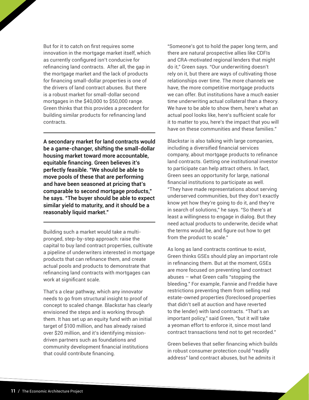But for it to catch on first requires some innovation in the mortgage market itself, which as currently configured isn't conducive for refinancing land contracts. After all, the gap in the mortgage market and the lack of products for financing small-dollar properties is one of the drivers of land contract abuses. But there is a robust market for small-dollar second mortgages in the \$40,000 to \$50,000 range. Green thinks that this provides a precedent for building similar products for refinancing land contracts.

A secondary market for land contracts would be a game-changer, shifting the small-dollar housing market toward more accountable, equitable financing. Green believes it's perfectly feasible. "We should be able to move pools of these that are performing and have been seasoned at pricing that's comparable to second mortgage products," he says. "The buyer should be able to expect similar yield to maturity, and it should be a reasonably liquid market."

Building such a market would take a multipronged, step-by-step approach: raise the capital to buy land contract properties, cultivate a pipeline of underwriters interested in mortgage products that can refinance them, and create actual pools and products to demonstrate that refinancing land contracts with mortgages can work at significant scale.

That's a clear pathway, which any innovator needs to go from structural insight to proof of concept to scaled change. Blackstar has clearly envisioned the steps and is working through them. It has set up an equity fund with an initial target of \$100 million, and has already raised over \$20 million, and it's identifying missiondriven partners such as foundations and community development financial institutions that could contribute financing.

"Someone's got to hold the paper long term, and there are natural prospective allies like CDFIs and CRA-motivated regional lenders that might do it," Green says. "Our underwriting doesn't rely on it, but there are ways of cultivating those relationships over time. The more channels we have, the more competitive mortgage products we can offer. But institutions have a much easier time underwriting actual collateral than a theory. We have to be able to show them, here's what an actual pool looks like, here's sufficient scale for it to matter to you, here's the impact that you will have on these communities and these families."

Blackstar is also talking with large companies, including a diversified financial services company, about mortgage products to refinance land contracts. Getting one institutional investor to participate can help attract others. In fact, Green sees an opportunity for large, national financial institutions to participate as well. "They have made representations about serving underserved communities, but they don't exactly know yet how they're going to do it, and they're in search of solutions," he says. "So there's at least a willingness to engage in dialog. But they need actual products to underwrite, decide what the terms would be, and figure out how to get from the product to scale."

As long as land contracts continue to exist, Green thinks GSEs should play an important role in refinancing them. But at the moment, GSEs are more focused on preventing land contract abuses – what Green calls "stopping the bleeding." For example, Fannie and Freddie have restrictions preventing them from selling real estate-owned properties (foreclosed properties that didn't sell at auction and have reverted to the lender) with land contracts. "That's an important policy," said Green, "but it will take a yeoman effort to enforce it, since most land contract transactions tend not to get recorded."

Green believes that seller financing which builds in robust consumer protection could "readily address" land contract abuses, but he admits it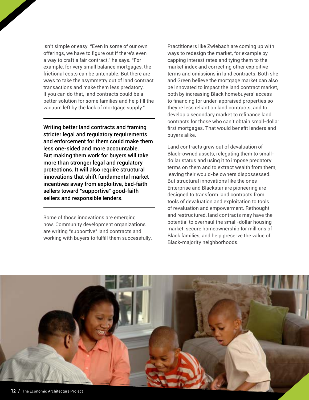isn't simple or easy. "Even in some of our own offerings, we have to figure out if there's even a way to craft a fair contract," he says. "For example, for very small balance mortgages, the frictional costs can be untenable. But there are ways to take the asymmetry out of land contract transactions and make them less predatory. If you can do that, land contracts could be a better solution for some families and help fill the vacuum left by the lack of mortgage supply."

Writing better land contracts and framing stricter legal and regulatory requirements and enforcement for them could make them less one-sided and more accountable. But making them work for buyers will take more than stronger legal and regulatory protections. It will also require structural innovations that shift fundamental market incentives away from exploitive, bad-faith sellers toward "supportive" good-faith sellers and responsible lenders.

Some of those innovations are emerging now. Community development organizations are writing "supportive" land contracts and working with buyers to fulfill them successfully.

Practitioners like Zwiebach are coming up with ways to redesign the market, for example by capping interest rates and tying them to the market index and correcting other exploitive terms and omissions in land contracts. Both she and Green believe the mortgage market can also be innovated to impact the land contract market, both by increasing Black homebuyers' access to financing for under-appraised properties so they're less reliant on land contracts, and to develop a secondary market to refinance land contracts for those who can't obtain small-dollar first mortgages. That would benefit lenders and buyers alike.

Land contracts grew out of devaluation of Black-owned assets, relegating them to smalldollar status and using it to impose predatory terms on them and to extract wealth from them, leaving their would-be owners dispossessed. But structural innovations like the ones Enterprise and Blackstar are pioneering are designed to transform land contracts from tools of devaluation and exploitation to tools of revaluation and empowerment. Rethought and restructured, land contracts may have the potential to overhaul the small-dollar housing market, secure homeownership for millions of Black families, and help preserve the value of Black-majority neighborhoods.

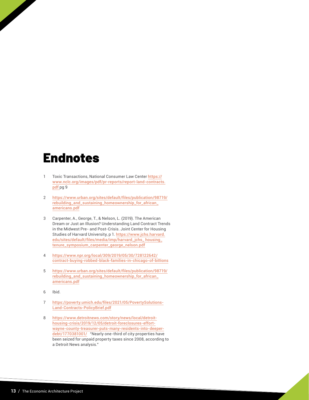#### Endnotes

- 1 Toxic Transactions, National Consumer Law Center [https://](https://bit.ly/VHBCnominationform) [www.nclc.org/images/pdf/pr-reports/report-land-contracts.](https://bit.ly/VHBCnominationform) [pdf](https://bit.ly/VHBCnominationform) pg 9
- 2 https://www.urban.org/sites/default/files/publication/98719/ rebuilding\_and\_sustaining\_homeownership\_for\_african\_ americans.pdf
- 3 Carpenter, A., George, T., & Nelson, L. (2019). The American Dream or Just an Illusion? Understanding Land Contract Trends in the Midwest Pre- and Post-Crisis. Joint Center for Housing Studies of Harvard University, p 1. https://www.jchs.harvard. edu/sites/default/files/media/imp/harvard\_jchs\_ housing\_ tenure\_symposium\_carpenter\_george\_nelson.pdf
- 4 [https://www.npr.org/local/309/2019/05/30/728122642/](https://www.lincolninst.edu/sites/default/files/pubfiles/the-community-land-trust-reader-chp.pdf) [contract-buying-robbed-black-families-in-chicago-of-billions](https://www.lincolninst.edu/sites/default/files/pubfiles/the-community-land-trust-reader-chp.pdf)
- 5 [https://www.urban.org/sites/default/files/publication/98719/](https://shelterforce.org/) [rebuilding\\_and\\_sustaining\\_homeownership\\_for\\_african\\_](https://shelterforce.org/) [americans.pdf](https://shelterforce.org/)
- 6 Ibid.
- 7 https://poverty.umich.edu/files/2021/05/PovertySolutions-Land-Contracts-PolicyBrief.pdf
- 8 [https://www.detroitnews.com/story/news/local/detroit](https://thesocialpresskit.com/economicarchitectureproject#share-with-your-networks)[housing-crisis/2019/12/05/detroit-foreclosures-effort](https://thesocialpresskit.com/economicarchitectureproject#share-with-your-networks)[wayne-county-treasurer-puts-many-residents-into-deeper](https://thesocialpresskit.com/economicarchitectureproject#share-with-your-networks)[debt/1770381001/](https://thesocialpresskit.com/economicarchitectureproject#share-with-your-networks) "Nearly one-third of city properties have been seized for unpaid property taxes since 2008, according to a Detroit News analysis."